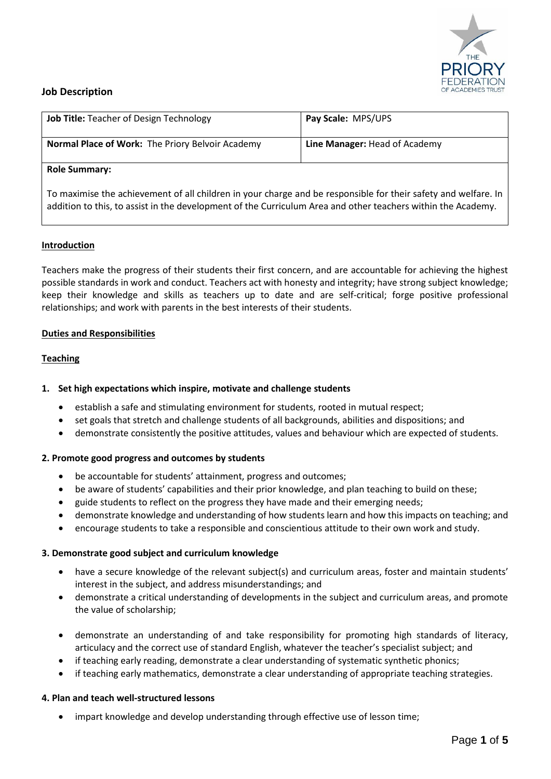

# **Job Description**

| <b>Job Title: Teacher of Design Technology</b>          | Pay Scale: MPS/UPS            |
|---------------------------------------------------------|-------------------------------|
| <b>Normal Place of Work: The Priory Belvoir Academy</b> | Line Manager: Head of Academy |
| <b>Role Summary:</b>                                    |                               |

# **Role Summary:**

To maximise the achievement of all children in your charge and be responsible for their safety and welfare. In addition to this, to assist in the development of the Curriculum Area and other teachers within the Academy.

## **Introduction**

Teachers make the progress of their students their first concern, and are accountable for achieving the highest possible standards in work and conduct. Teachers act with honesty and integrity; have strong subject knowledge; keep their knowledge and skills as teachers up to date and are self-critical; forge positive professional relationships; and work with parents in the best interests of their students.

### **Duties and Responsibilities**

### **Teaching**

## **1. Set high expectations which inspire, motivate and challenge students**

- establish a safe and stimulating environment for students, rooted in mutual respect;
- set goals that stretch and challenge students of all backgrounds, abilities and dispositions; and
- demonstrate consistently the positive attitudes, values and behaviour which are expected of students.

## **2. Promote good progress and outcomes by students**

- be accountable for students' attainment, progress and outcomes;
- be aware of students' capabilities and their prior knowledge, and plan teaching to build on these;
- guide students to reflect on the progress they have made and their emerging needs;
- demonstrate knowledge and understanding of how students learn and how this impacts on teaching; and
- encourage students to take a responsible and conscientious attitude to their own work and study.

## **3. Demonstrate good subject and curriculum knowledge**

- have a secure knowledge of the relevant subject(s) and curriculum areas, foster and maintain students' interest in the subject, and address misunderstandings; and
- demonstrate a critical understanding of developments in the subject and curriculum areas, and promote the value of scholarship;
- demonstrate an understanding of and take responsibility for promoting high standards of literacy, articulacy and the correct use of standard English, whatever the teacher's specialist subject; and
- if teaching early reading, demonstrate a clear understanding of systematic synthetic phonics;
- if teaching early mathematics, demonstrate a clear understanding of appropriate teaching strategies.

## **4. Plan and teach well-structured lessons**

impart knowledge and develop understanding through effective use of lesson time;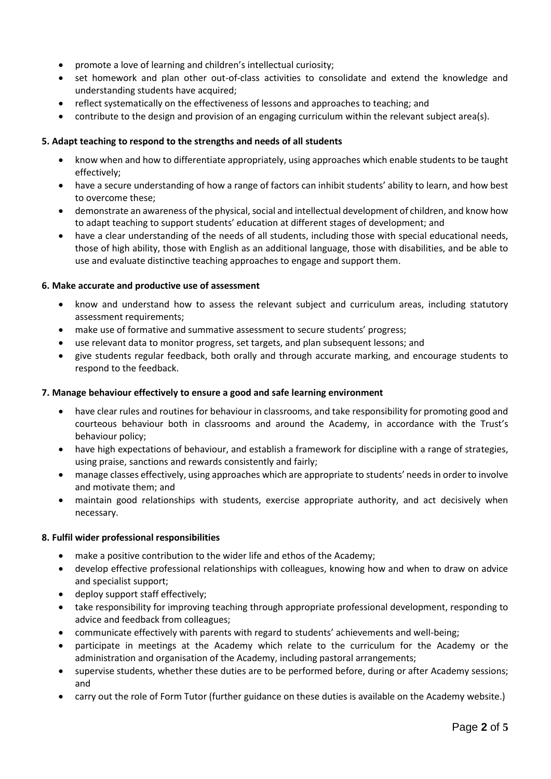- promote a love of learning and children's intellectual curiosity;
- set homework and plan other out-of-class activities to consolidate and extend the knowledge and understanding students have acquired;
- reflect systematically on the effectiveness of lessons and approaches to teaching; and
- contribute to the design and provision of an engaging curriculum within the relevant subject area(s).

## **5. Adapt teaching to respond to the strengths and needs of all students**

- know when and how to differentiate appropriately, using approaches which enable students to be taught effectively;
- have a secure understanding of how a range of factors can inhibit students' ability to learn, and how best to overcome these;
- demonstrate an awareness of the physical, social and intellectual development of children, and know how to adapt teaching to support students' education at different stages of development; and
- have a clear understanding of the needs of all students, including those with special educational needs, those of high ability, those with English as an additional language, those with disabilities, and be able to use and evaluate distinctive teaching approaches to engage and support them.

## **6. Make accurate and productive use of assessment**

- know and understand how to assess the relevant subject and curriculum areas, including statutory assessment requirements:
- make use of formative and summative assessment to secure students' progress;
- use relevant data to monitor progress, set targets, and plan subsequent lessons; and
- give students regular feedback, both orally and through accurate marking, and encourage students to respond to the feedback.

## **7. Manage behaviour effectively to ensure a good and safe learning environment**

- have clear rules and routines for behaviour in classrooms, and take responsibility for promoting good and courteous behaviour both in classrooms and around the Academy, in accordance with the Trust's behaviour policy;
- have high expectations of behaviour, and establish a framework for discipline with a range of strategies, using praise, sanctions and rewards consistently and fairly;
- manage classes effectively, using approaches which are appropriate to students' needs in order to involve and motivate them; and
- maintain good relationships with students, exercise appropriate authority, and act decisively when necessary.

## **8. Fulfil wider professional responsibilities**

- make a positive contribution to the wider life and ethos of the Academy;
- develop effective professional relationships with colleagues, knowing how and when to draw on advice and specialist support;
- deploy support staff effectively;
- take responsibility for improving teaching through appropriate professional development, responding to advice and feedback from colleagues;
- communicate effectively with parents with regard to students' achievements and well-being;
- participate in meetings at the Academy which relate to the curriculum for the Academy or the administration and organisation of the Academy, including pastoral arrangements;
- supervise students, whether these duties are to be performed before, during or after Academy sessions; and
- carry out the role of Form Tutor (further guidance on these duties is available on the Academy website.)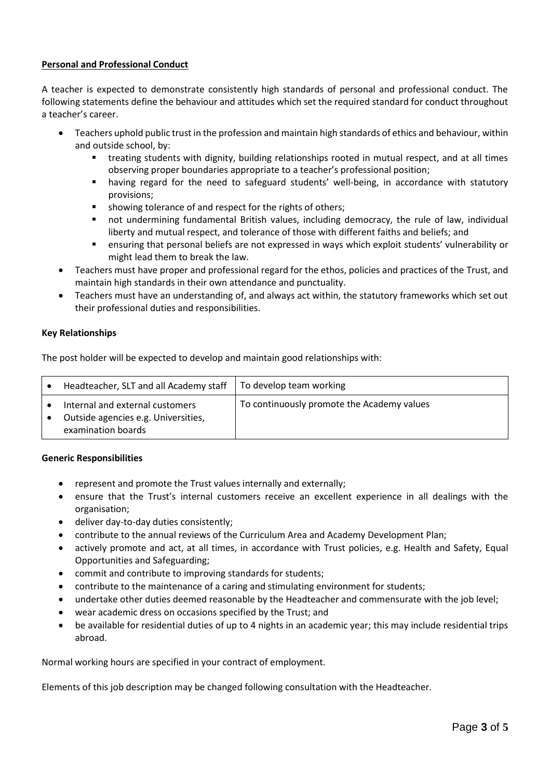# **Personal and Professional Conduct**

A teacher is expected to demonstrate consistently high standards of personal and professional conduct. The following statements define the behaviour and attitudes which set the required standard for conduct throughout a teacher's career.

- Teachers uphold public trust in the profession and maintain high standards of ethics and behaviour, within and outside school, by:
	- treating students with dignity, building relationships rooted in mutual respect, and at all times observing proper boundaries appropriate to a teacher's professional position;
	- having regard for the need to safeguard students' well-being, in accordance with statutory provisions;
	- showing tolerance of and respect for the rights of others;
	- not undermining fundamental British values, including democracy, the rule of law, individual liberty and mutual respect, and tolerance of those with different faiths and beliefs; and
	- ensuring that personal beliefs are not expressed in ways which exploit students' vulnerability or might lead them to break the law.
- Teachers must have proper and professional regard for the ethos, policies and practices of the Trust, and maintain high standards in their own attendance and punctuality.
- Teachers must have an understanding of, and always act within, the statutory frameworks which set out their professional duties and responsibilities.

## **Key Relationships**

The post holder will be expected to develop and maintain good relationships with:

| Headteacher, SLT and all Academy staff                                                       | To develop team working                    |
|----------------------------------------------------------------------------------------------|--------------------------------------------|
| Internal and external customers<br>Outside agencies e.g. Universities,<br>examination boards | To continuously promote the Academy values |

## **Generic Responsibilities**

- represent and promote the Trust values internally and externally;
- ensure that the Trust's internal customers receive an excellent experience in all dealings with the organisation;
- deliver day-to-day duties consistently;
- contribute to the annual reviews of the Curriculum Area and Academy Development Plan;
- actively promote and act, at all times, in accordance with Trust policies, e.g. Health and Safety, Equal Opportunities and Safeguarding;
- commit and contribute to improving standards for students;
- contribute to the maintenance of a caring and stimulating environment for students;
- undertake other duties deemed reasonable by the Headteacher and commensurate with the job level;
- wear academic dress on occasions specified by the Trust; and
- be available for residential duties of up to 4 nights in an academic year; this may include residential trips abroad.

Normal working hours are specified in your contract of employment.

Elements of this job description may be changed following consultation with the Headteacher.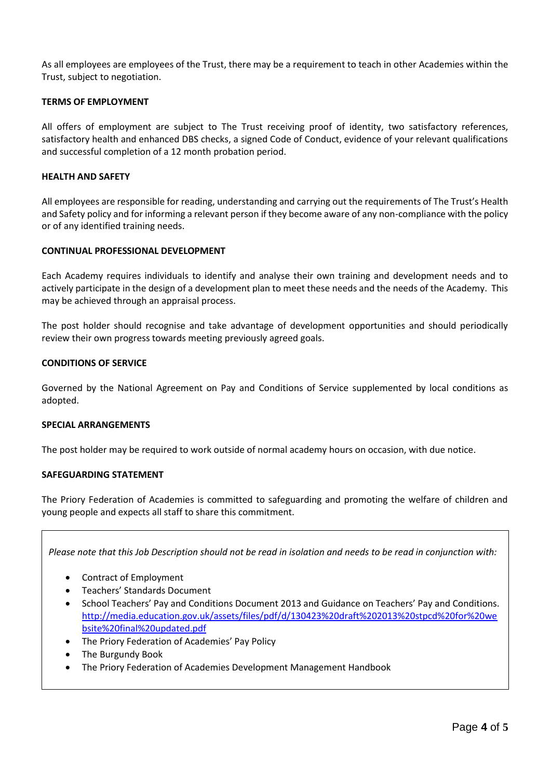As all employees are employees of the Trust, there may be a requirement to teach in other Academies within the Trust, subject to negotiation.

### **TERMS OF EMPLOYMENT**

All offers of employment are subject to The Trust receiving proof of identity, two satisfactory references, satisfactory health and enhanced DBS checks, a signed Code of Conduct, evidence of your relevant qualifications and successful completion of a 12 month probation period.

### **HEALTH AND SAFETY**

All employees are responsible for reading, understanding and carrying out the requirements of The Trust's Health and Safety policy and for informing a relevant person if they become aware of any non-compliance with the policy or of any identified training needs.

### **CONTINUAL PROFESSIONAL DEVELOPMENT**

Each Academy requires individuals to identify and analyse their own training and development needs and to actively participate in the design of a development plan to meet these needs and the needs of the Academy. This may be achieved through an appraisal process.

The post holder should recognise and take advantage of development opportunities and should periodically review their own progress towards meeting previously agreed goals.

### **CONDITIONS OF SERVICE**

Governed by the National Agreement on Pay and Conditions of Service supplemented by local conditions as adopted.

### **SPECIAL ARRANGEMENTS**

The post holder may be required to work outside of normal academy hours on occasion, with due notice.

### **SAFEGUARDING STATEMENT**

The Priory Federation of Academies is committed to safeguarding and promoting the welfare of children and young people and expects all staff to share this commitment.

*Please note that this Job Description should not be read in isolation and needs to be read in conjunction with:*

- Contract of Employment
- Teachers' Standards Document
- School Teachers' Pay and Conditions Document 2013 and Guidance on Teachers' Pay and Conditions. [http://media.education.gov.uk/assets/files/pdf/d/130423%20draft%202013%20stpcd%20for%20we](http://media.education.gov.uk/assets/files/pdf/d/130423%20draft%202013%20stpcd%20for%20website%20final%20updated.pdf) [bsite%20final%20updated.pdf](http://media.education.gov.uk/assets/files/pdf/d/130423%20draft%202013%20stpcd%20for%20website%20final%20updated.pdf)
- The Priory Federation of Academies' Pay Policy
- The Burgundy Book
- The Priory Federation of Academies Development Management Handbook